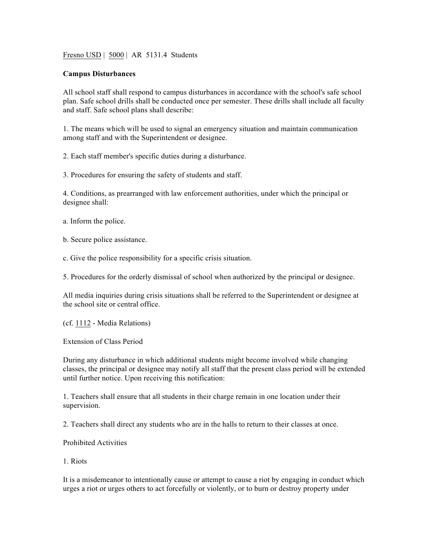Fresno USD | 5000 | AR 5131.4 Students

## **Campus Disturbances**

All school staff shall respond to campus disturbances in accordance with the school's safe school plan. Safe school drills shall be conducted once per semester. These drills shall include all faculty and staff. Safe school plans shall describe:

1. The means which will be used to signal an emergency situation and maintain communication among staff and with the Superintendent or designee.

2. Each staff member's specific duties during a disturbance.

3. Procedures for ensuring the safety of students and staff.

4. Conditions, as prearranged with law enforcement authorities, under which the principal or designee shall:

a. Inform the police.

b. Secure police assistance.

c. Give the police responsibility for a specific crisis situation.

5. Procedures for the orderly dismissal of school when authorized by the principal or designee.

All media inquiries during crisis situations shall be referred to the Superintendent or designee at the school site or central office.

(cf. 1112 - Media Relations)

Extension of Class Period

During any disturbance in which additional students might become involved while changing classes, the principal or designee may notify all staff that the present class period will be extended until further notice. Upon receiving this notification:

1. Teachers shall ensure that all students in their charge remain in one location under their supervision.

2. Teachers shall direct any students who are in the halls to return to their classes at once.

Prohibited Activities

1. Riots

It is a misdemeanor to intentionally cause or attempt to cause a riot by engaging in conduct which urges a riot or urges others to act forcefully or violently, or to burn or destroy property under